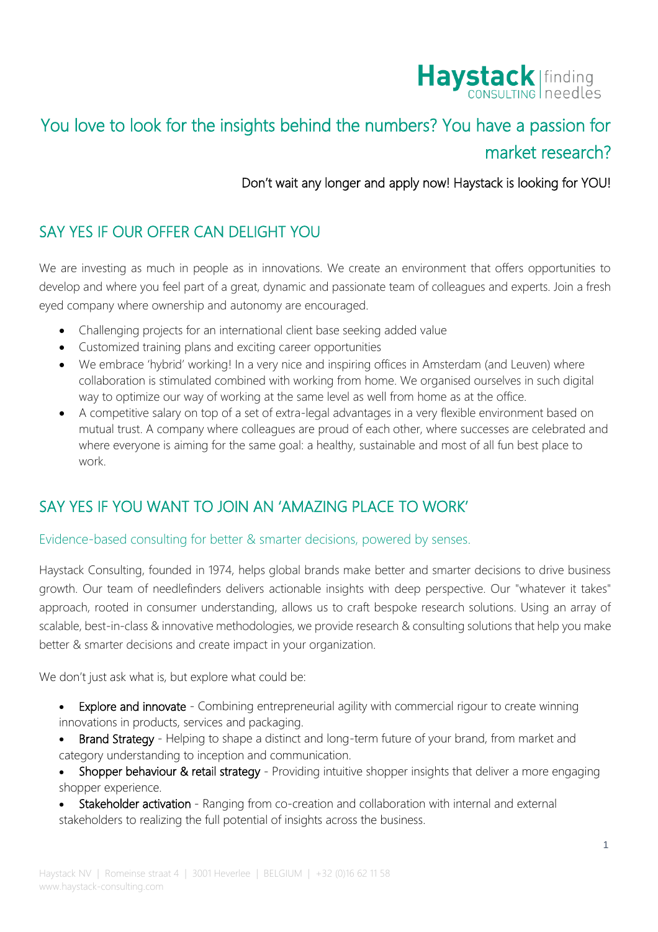

# You love to look for the insights behind the numbers? You have a passion for market research?

Don't wait any longer and apply now! Haystack is looking for YOU!

## SAY YES IF OUR OFFER CAN DELIGHT YOU

We are investing as much in people as in innovations. We create an environment that offers opportunities to develop and where you feel part of a great, dynamic and passionate team of colleagues and experts. Join a fresh eyed company where ownership and autonomy are encouraged.

- Challenging projects for an international client base seeking added value
- Customized training plans and exciting career opportunities
- We embrace 'hybrid' working! In a very nice and inspiring offices in Amsterdam (and Leuven) where collaboration is stimulated combined with working from home. We organised ourselves in such digital way to optimize our way of working at the same level as well from home as at the office.
- A competitive salary on top of a set of extra-legal advantages in a very flexible environment based on mutual trust. A company where colleagues are proud of each other, where successes are celebrated and where everyone is aiming for the same goal: a healthy, sustainable and most of all fun best place to work.

## SAY YES IF YOU WANT TO JOIN AN 'AMAZING PLACE TO WORK'

#### Evidence-based consulting for better & smarter decisions, powered by senses.

Haystack Consulting, founded in 1974, helps global brands make better and smarter decisions to drive business growth. Our team of needlefinders delivers actionable insights with deep perspective. Our "whatever it takes" approach, rooted in consumer understanding, allows us to craft bespoke research solutions. Using an array of scalable, best-in-class & innovative methodologies, we provide research & consulting solutions that help you make better & smarter decisions and create impact in your organization.

We don't just ask what is, but explore what could be:

- **Explore and innovate** Combining entrepreneurial agility with commercial rigour to create winning innovations in products, services and packaging.
- Brand Strategy Helping to shape a distinct and long-term future of your brand, from market and category understanding to inception and communication.
- Shopper behaviour & retail strategy Providing intuitive shopper insights that deliver a more engaging shopper experience.
- Stakeholder activation Ranging from co-creation and collaboration with internal and external stakeholders to realizing the full potential of insights across the business.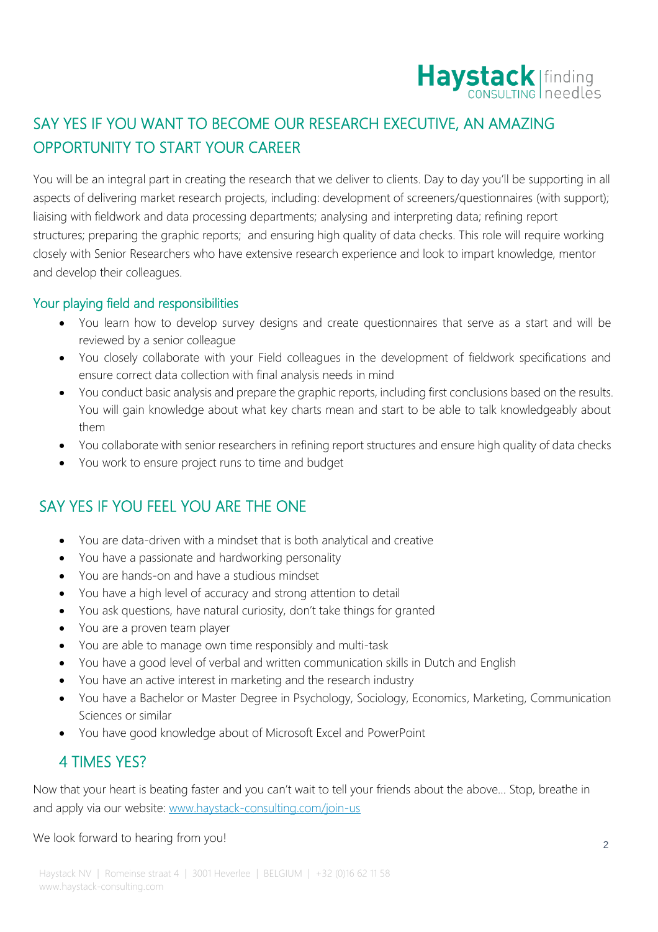

## SAY YES IF YOU WANT TO BECOME OUR RESEARCH EXECUTIVE, AN AMAZING OPPORTUNITY TO START YOUR CAREER

You will be an integral part in creating the research that we deliver to clients. Day to day you'll be supporting in all aspects of delivering market research projects, including: development of screeners/questionnaires (with support); liaising with fieldwork and data processing departments; analysing and interpreting data; refining report structures; preparing the graphic reports; and ensuring high quality of data checks. This role will require working closely with Senior Researchers who have extensive research experience and look to impart knowledge, mentor and develop their colleagues.

### Your playing field and responsibilities

- You learn how to develop survey designs and create questionnaires that serve as a start and will be reviewed by a senior colleague
- You closely collaborate with your Field colleagues in the development of fieldwork specifications and ensure correct data collection with final analysis needs in mind
- You conduct basic analysis and prepare the graphic reports, including first conclusions based on the results. You will gain knowledge about what key charts mean and start to be able to talk knowledgeably about them
- You collaborate with senior researchers in refining report structures and ensure high quality of data checks
- You work to ensure project runs to time and budget

## SAY YES IF YOU FEEL YOU ARE THE ONE

- You are data-driven with a mindset that is both analytical and creative
- You have a passionate and hardworking personality
- You are hands-on and have a studious mindset
- You have a high level of accuracy and strong attention to detail
- You ask questions, have natural curiosity, don't take things for granted
- You are a proven team player
- You are able to manage own time responsibly and multi-task
- You have a good level of verbal and written communication skills in Dutch and English
- You have an active interest in marketing and the research industry
- You have a Bachelor or Master Degree in Psychology, Sociology, Economics, Marketing, Communication Sciences or similar
- You have good knowledge about of Microsoft Excel and PowerPoint

### 4 TIMES YES?

Now that your heart is beating faster and you can't wait to tell your friends about the above… Stop, breathe in and apply via our website: [www.haystack-consulting.com/join-us](http://www.haystack-consulting.com/join-us)

We look forward to hearing from you!